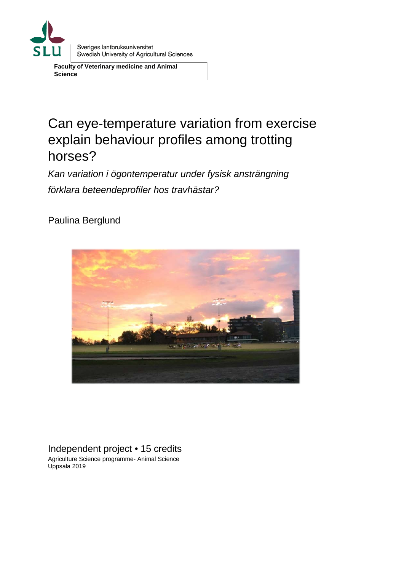

**Faculty of Veterinary medicine and Animal Science**

# Can eye-temperature variation from exercise explain behaviour profiles among trotting horses?

*Kan variation i ögontemperatur under fysisk ansträngning förklara beteendeprofiler hos travhästar?*

Paulina Berglund



Independent project • 15 credits Agriculture Science programme- Animal Science Uppsala 2019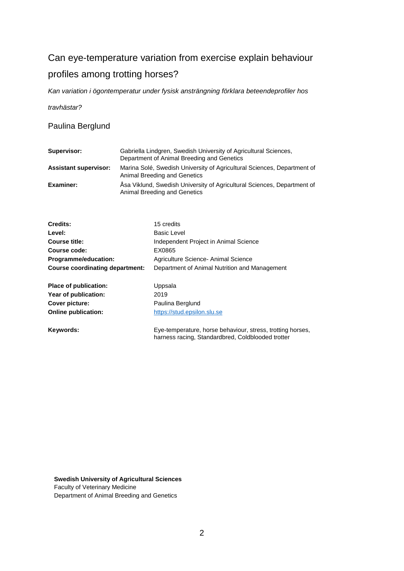# Can eye-temperature variation from exercise explain behaviour profiles among trotting horses?

*Kan variation i ögontemperatur under fysisk ansträngning förklara beteendeprofiler hos* 

*travhästar?*

Paulina Berglund

| Supervisor:                  | Gabriella Lindgren, Swedish University of Agricultural Sciences,<br>Department of Animal Breeding and Genetics |
|------------------------------|----------------------------------------------------------------------------------------------------------------|
| <b>Assistant supervisor:</b> | Marina Solé, Swedish University of Agricultural Sciences, Department of<br>Animal Breeding and Genetics        |
| Examiner:                    | Åsa Viklund, Swedish University of Agricultural Sciences, Department of<br>Animal Breeding and Genetics        |

| Credits:                        | 15 credits                                    |
|---------------------------------|-----------------------------------------------|
| Level:                          | <b>Basic Level</b>                            |
| Course title:                   | Independent Project in Animal Science         |
| Course code:                    | EX0865                                        |
| Programme/education:            | Agriculture Science- Animal Science           |
| Course coordinating department: | Department of Animal Nutrition and Management |
| Place of publication:           | Uppsala                                       |
| Year of publication:            | 2019                                          |
| Cover picture:                  | Paulina Berglund                              |
| Online publication:             | https://stud.epsilon.slu.se                   |
|                                 |                                               |

**Keywords:** Eye-temperature, horse behaviour, stress, trotting horses, harness racing, Standardbred, Coldblooded trotter

**Swedish University of Agricultural Sciences** Faculty of Veterinary Medicine Department of Animal Breeding and Genetics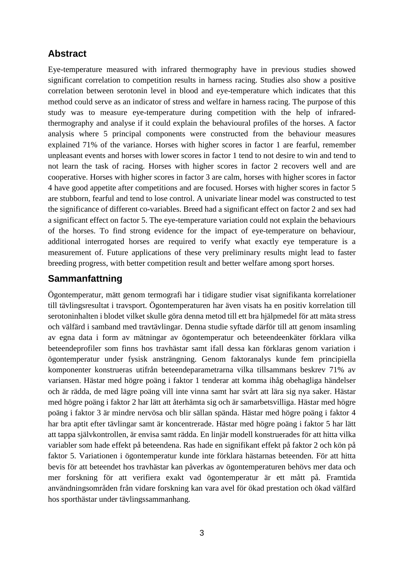# **Abstract**

Eye-temperature measured with infrared thermography have in previous studies showed significant correlation to competition results in harness racing. Studies also show a positive correlation between serotonin level in blood and eye-temperature which indicates that this method could serve as an indicator of stress and welfare in harness racing. The purpose of this study was to measure eye-temperature during competition with the help of infraredthermography and analyse if it could explain the behavioural profiles of the horses. A factor analysis where 5 principal components were constructed from the behaviour measures explained 71% of the variance. Horses with higher scores in factor 1 are fearful, remember unpleasant events and horses with lower scores in factor 1 tend to not desire to win and tend to not learn the task of racing. Horses with higher scores in factor 2 recovers well and are cooperative. Horses with higher scores in factor 3 are calm, horses with higher scores in factor 4 have good appetite after competitions and are focused. Horses with higher scores in factor 5 are stubborn, fearful and tend to lose control. A univariate linear model was constructed to test the significance of different co-variables. Breed had a significant effect on factor 2 and sex had a significant effect on factor 5. The eye-temperature variation could not explain the behaviours of the horses. To find strong evidence for the impact of eye-temperature on behaviour, additional interrogated horses are required to verify what exactly eye temperature is a measurement of. Future applications of these very preliminary results might lead to faster breeding progress, with better competition result and better welfare among sport horses.

# **Sammanfattning**

Ögontemperatur, mätt genom termografi har i tidigare studier visat signifikanta korrelationer till tävlingsresultat i travsport. Ögontemperaturen har även visats ha en positiv korrelation till serotoninhalten i blodet vilket skulle göra denna metod till ett bra hjälpmedel för att mäta stress och välfärd i samband med travtävlingar. Denna studie syftade därför till att genom insamling av egna data i form av mätningar av ögontemperatur och beteendeenkäter förklara vilka beteendeprofiler som finns hos travhästar samt ifall dessa kan förklaras genom variation i ögontemperatur under fysisk ansträngning. Genom faktoranalys kunde fem principiella komponenter konstrueras utifrån beteendeparametrarna vilka tillsammans beskrev 71% av variansen. Hästar med högre poäng i faktor 1 tenderar att komma ihåg obehagliga händelser och är rädda, de med lägre poäng vill inte vinna samt har svårt att lära sig nya saker. Hästar med högre poäng i faktor 2 har lätt att återhämta sig och är samarbetsvilliga. Hästar med högre poäng i faktor 3 är mindre nervösa och blir sällan spända. Hästar med högre poäng i faktor 4 har bra aptit efter tävlingar samt är koncentrerade. Hästar med högre poäng i faktor 5 har lätt att tappa självkontrollen, är envisa samt rädda. En linjär modell konstruerades för att hitta vilka variabler som hade effekt på beteendena. Ras hade en signifikant effekt på faktor 2 och kön på faktor 5. Variationen i ögontemperatur kunde inte förklara hästarnas beteenden. För att hitta bevis för att beteendet hos travhästar kan påverkas av ögontemperaturen behövs mer data och mer forskning för att verifiera exakt vad ögontemperatur är ett mått på. Framtida användningsområden från vidare forskning kan vara avel för ökad prestation och ökad välfärd hos sporthästar under tävlingssammanhang.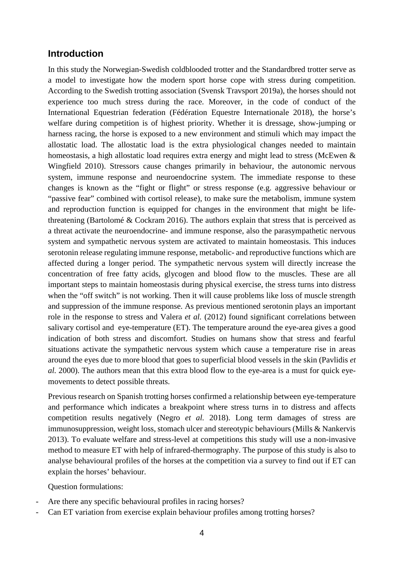#### **Introduction**

In this study the Norwegian-Swedish coldblooded trotter and the Standardbred trotter serve as a model to investigate how the modern sport horse cope with stress during competition. According to the Swedish trotting association (Svensk Travsport 2019a), the horses should not experience too much stress during the race. Moreover, in the code of conduct of the International Equestrian federation (Fédération Equestre Internationale 2018), the horse's welfare during competition is of highest priority. Whether it is dressage, show-jumping or harness racing, the horse is exposed to a new environment and stimuli which may impact the allostatic load. The allostatic load is the extra physiological changes needed to maintain homeostasis, a high allostatic load requires extra energy and might lead to stress (McEwen & Wingfield 2010). Stressors cause changes primarily in behaviour, the autonomic nervous system, immune response and neuroendocrine system. The immediate response to these changes is known as the "fight or flight" or stress response (e.g. aggressive behaviour or "passive fear" combined with cortisol release), to make sure the metabolism, immune system and reproduction function is equipped for changes in the environment that might be lifethreatening (Bartolomé & Cockram 2016). The authors explain that stress that is perceived as a threat activate the neuroendocrine- and immune response, also the parasympathetic nervous system and sympathetic nervous system are activated to maintain homeostasis. This induces serotonin release regulating immune response, metabolic- and reproductive functions which are affected during a longer period. The sympathetic nervous system will directly increase the concentration of free fatty acids, glycogen and blood flow to the muscles. These are all important steps to maintain homeostasis during physical exercise, the stress turns into distress when the "off switch" is not working. Then it will cause problems like loss of muscle strength and suppression of the immune response. As previous mentioned serotonin plays an important role in the response to stress and Valera *et al.* (2012) found significant correlations between salivary cortisol and eye-temperature (ET). The temperature around the eye-area gives a good indication of both stress and discomfort. Studies on humans show that stress and fearful situations activate the sympathetic nervous system which cause a temperature rise in areas around the eyes due to more blood that goes to superficial blood vessels in the skin (Pavlidis *et al.* 2000). The authors mean that this extra blood flow to the eye-area is a must for quick eyemovements to detect possible threats.

Previous research on Spanish trotting horses confirmed a relationship between eye-temperature and performance which indicates a breakpoint where stress turns in to distress and affects competition results negatively (Negro *et al.* 2018). Long term damages of stress are immunosuppression, weight loss, stomach ulcer and stereotypic behaviours (Mills & Nankervis 2013). To evaluate welfare and stress-level at competitions this study will use a non-invasive method to measure ET with help of infrared-thermography. The purpose of this study is also to analyse behavioural profiles of the horses at the competition via a survey to find out if ET can explain the horses' behaviour.

Question formulations:

- Are there any specific behavioural profiles in racing horses?
- Can ET variation from exercise explain behaviour profiles among trotting horses?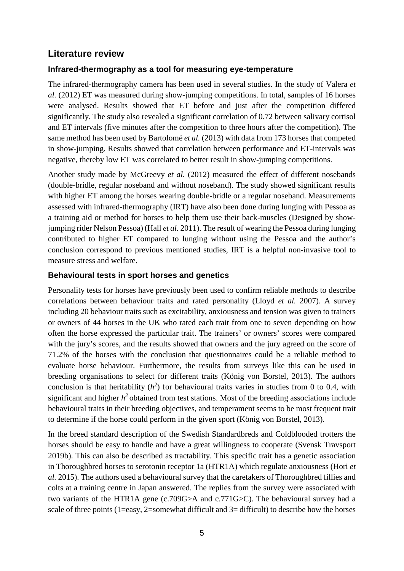## **Literature review**

#### **Infrared-thermography as a tool for measuring eye-temperature**

The infrared-thermography camera has been used in several studies. In the study of Valera *et al.* (2012) ET was measured during show-jumping competitions. In total, samples of 16 horses were analysed. Results showed that ET before and just after the competition differed significantly. The study also revealed a significant correlation of 0.72 between salivary cortisol and ET intervals (five minutes after the competition to three hours after the competition). The same method has been used by Bartolomé *et al.* (2013) with data from 173 horses that competed in show-jumping. Results showed that correlation between performance and ET-intervals was negative, thereby low ET was correlated to better result in show-jumping competitions.

Another study made by McGreevy *et al.* (2012) measured the effect of different nosebands (double-bridle, regular noseband and without noseband). The study showed significant results with higher ET among the horses wearing double-bridle or a regular noseband. Measurements assessed with infrared-thermography (IRT) have also been done during lunging with Pessoa as a training aid or method for horses to help them use their back-muscles (Designed by showjumping rider Nelson Pessoa) (Hall *et al.* 2011). The result of wearing the Pessoa during lunging contributed to higher ET compared to lunging without using the Pessoa and the author's conclusion correspond to previous mentioned studies, IRT is a helpful non-invasive tool to measure stress and welfare.

#### **Behavioural tests in sport horses and genetics**

Personality tests for horses have previously been used to confirm reliable methods to describe correlations between behaviour traits and rated personality (Lloyd *et al.* 2007). A survey including 20 behaviour traits such as excitability, anxiousness and tension was given to trainers or owners of 44 horses in the UK who rated each trait from one to seven depending on how often the horse expressed the particular trait. The trainers' or owners' scores were compared with the jury's scores, and the results showed that owners and the jury agreed on the score of 71.2% of the horses with the conclusion that questionnaires could be a reliable method to evaluate horse behaviour. Furthermore, the results from surveys like this can be used in breeding organisations to select for different traits (König von Borstel, 2013). The authors conclusion is that heritability  $(h^2)$  for behavioural traits varies in studies from 0 to 0.4, with significant and higher  $h^2$  obtained from test stations. Most of the breeding associations include behavioural traits in their breeding objectives, and temperament seems to be most frequent trait to determine if the horse could perform in the given sport (König von Borstel, 2013).

In the breed standard description of the Swedish Standardbreds and Coldblooded trotters the horses should be easy to handle and have a great willingness to cooperate (Svensk Travsport 2019b). This can also be described as tractability. This specific trait has a genetic association in Thoroughbred horses to serotonin receptor 1a (HTR1A) which regulate anxiousness (Hori *et al.* 2015). The authors used a behavioural survey that the caretakers of Thoroughbred fillies and colts at a training centre in Japan answered. The replies from the survey were associated with two variants of the HTR1A gene (c.709G>A and c.771G>C). The behavioural survey had a scale of three points (1=easy, 2=somewhat difficult and  $3=$  difficult) to describe how the horses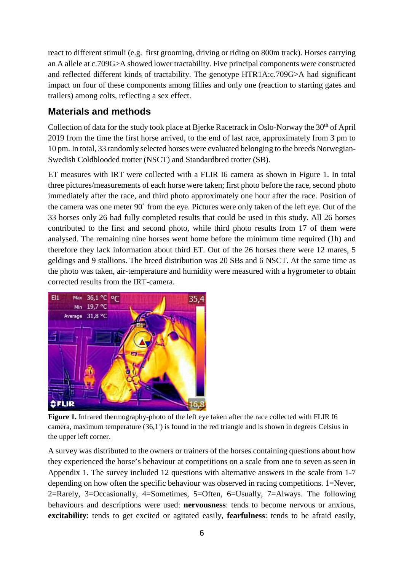react to different stimuli (e.g. first grooming, driving or riding on 800m track). Horses carrying an A allele at c.709G>A showed lower tractability. Five principal components were constructed and reflected different kinds of tractability. The genotype HTR1A:c.709G>A had significant impact on four of these components among fillies and only one (reaction to starting gates and trailers) among colts, reflecting a sex effect.

# **Materials and methods**

Collection of data for the study took place at Bjerke Racetrack in Oslo-Norway the 30<sup>th</sup> of April 2019 from the time the first horse arrived, to the end of last race, approximately from 3 pm to 10 pm. In total, 33 randomly selected horses were evaluated belonging to the breeds Norwegian-Swedish Coldblooded trotter (NSCT) and Standardbred trotter (SB).

ET measures with IRT were collected with a FLIR I6 camera as shown in Figure 1. In total three pictures/measurements of each horse were taken; first photo before the race, second photo immediately after the race, and third photo approximately one hour after the race. Position of the camera was one meter 90 $^{\circ}$  from the eye. Pictures were only taken of the left eye. Out of the 33 horses only 26 had fully completed results that could be used in this study. All 26 horses contributed to the first and second photo, while third photo results from 17 of them were analysed. The remaining nine horses went home before the minimum time required (1h) and therefore they lack information about third ET. Out of the 26 horses there were 12 mares, 5 geldings and 9 stallions. The breed distribution was 20 SBs and 6 NSCT. At the same time as the photo was taken, air-temperature and humidity were measured with a hygrometer to obtain corrected results from the IRT-camera.



**Figure 1.** Infrared thermography-photo of the left eye taken after the race collected with FLIR I6 camera, maximum temperature (36,1°) is found in the red triangle and is shown in degrees Celsius in the upper left corner.

A survey was distributed to the owners or trainers of the horses containing questions about how they experienced the horse's behaviour at competitions on a scale from one to seven as seen in Appendix 1. The survey included 12 questions with alternative answers in the scale from 1-7 depending on how often the specific behaviour was observed in racing competitions. 1=Never, 2=Rarely, 3=Occasionally, 4=Sometimes, 5=Often, 6=Usually, 7=Always. The following behaviours and descriptions were used: **nervousness**: tends to become nervous or anxious, **excitability**: tends to get excited or agitated easily, **fearfulness**: tends to be afraid easily,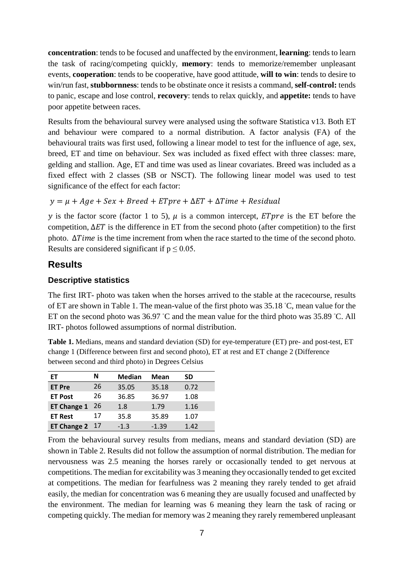**concentration**: tends to be focused and unaffected by the environment, **learning**: tends to learn the task of racing/competing quickly, **memory**: tends to memorize/remember unpleasant events, **cooperation**: tends to be cooperative, have good attitude, **will to win**: tends to desire to win/run fast, **stubbornness**: tends to be obstinate once it resists a command, **self-control:** tends to panic, escape and lose control, **recovery**: tends to relax quickly, and **appetite:** tends to have poor appetite between races.

Results from the behavioural survey were analysed using the software Statistica v13. Both ET and behaviour were compared to a normal distribution. A factor analysis (FA) of the behavioural traits was first used, following a linear model to test for the influence of age, sex, breed, ET and time on behaviour. Sex was included as fixed effect with three classes: mare, gelding and stallion. Age, ET and time was used as linear covariates. Breed was included as a fixed effect with 2 classes (SB or NSCT). The following linear model was used to test significance of the effect for each factor:

 $y = \mu + Age + Sex + Breed + EType + \Delta ET + \Delta Time + Residual$ 

y is the factor score (factor 1 to 5),  $\mu$  is a common intercept, *ETpre* is the ET before the competition,  $\Delta ET$  is the difference in ET from the second photo (after competition) to the first photo.  $\Delta Time$  is the time increment from when the race started to the time of the second photo. Results are considered significant if  $p \le 0.05$ .

### **Results**

#### **Descriptive statistics**

The first IRT- photo was taken when the horses arrived to the stable at the racecourse, results of ET are shown in Table 1. The mean-value of the first photo was 35.18 °C, mean value for the ET on the second photo was  $36.97$  °C and the mean value for the third photo was  $35.89$  °C. All IRT- photos followed assumptions of normal distribution.

**Table 1.** Medians, means and standard deviation (SD) for eye-temperature (ET) pre- and post-test, ET change 1 (Difference between first and second photo), ET at rest and ET change 2 (Difference between second and third photo) in Degrees Celsius

| EТ                 | N  | <b>Median</b> | Mean    | SD   |
|--------------------|----|---------------|---------|------|
| <b>ET Pre</b>      | 26 | 35.05         | 35.18   | 0.72 |
| <b>ET Post</b>     | 26 |               | 36.97   | 1.08 |
| <b>ET Change 1</b> | 26 | 1.8           | 1.79    | 1.16 |
| <b>ET Rest</b>     | 17 | 35.8          | 35.89   | 1.07 |
| <b>ET Change 2</b> | 17 | $-1.3$        | $-1.39$ | 1.42 |

From the behavioural survey results from medians, means and standard deviation (SD) are shown in Table 2. Results did not follow the assumption of normal distribution. The median for nervousness was 2.5 meaning the horses rarely or occasionally tended to get nervous at competitions. The median for excitability was 3 meaning they occasionally tended to get excited at competitions. The median for fearfulness was 2 meaning they rarely tended to get afraid easily, the median for concentration was 6 meaning they are usually focused and unaffected by the environment. The median for learning was 6 meaning they learn the task of racing or competing quickly. The median for memory was 2 meaning they rarely remembered unpleasant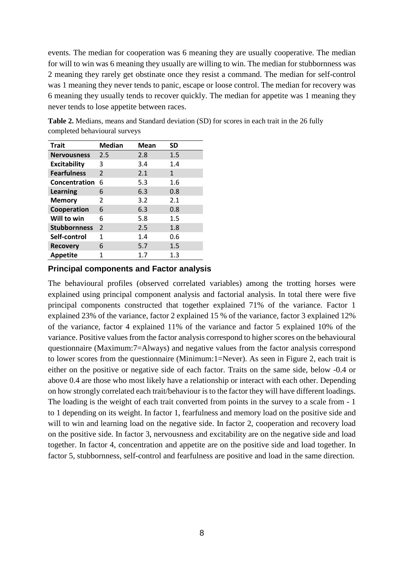events. The median for cooperation was 6 meaning they are usually cooperative. The median for will to win was 6 meaning they usually are willing to win. The median for stubbornness was 2 meaning they rarely get obstinate once they resist a command. The median for self-control was 1 meaning they never tends to panic, escape or loose control. The median for recovery was 6 meaning they usually tends to recover quickly. The median for appetite was 1 meaning they never tends to lose appetite between races.

| <b>Trait</b>        | <b>Median</b>  | <b>Mean</b> | SD      |
|---------------------|----------------|-------------|---------|
| <b>Nervousness</b>  | 2.5            | 2.8         | 1.5     |
| <b>Excitability</b> | 3              | 3.4         | 1.4     |
| <b>Fearfulness</b>  | $\mathfrak{p}$ | 2.1         | 1       |
| Concentration       | 6              | 5.3         | 1.6     |
| Learning            | 6              | 6.3         | 0.8     |
| <b>Memory</b>       | 2              | 3.2         | 2.1     |
| Cooperation         | 6              | 6.3         | 0.8     |
| Will to win         | 6              | 5.8         | $1.5\,$ |
| <b>Stubbornness</b> | $\overline{2}$ | 2.5         | 1.8     |
| Self-control        | 1              | 1.4         | 0.6     |
| <b>Recovery</b>     | 6              | 5.7         | 1.5     |
| <b>Appetite</b>     | 1              | 1.7         | 1.3     |

**Table 2.** Medians, means and Standard deviation (SD) for scores in each trait in the 26 fully completed behavioural surveys

#### **Principal components and Factor analysis**

The behavioural profiles (observed correlated variables) among the trotting horses were explained using principal component analysis and factorial analysis. In total there were five principal components constructed that together explained 71% of the variance. Factor 1 explained 23% of the variance, factor 2 explained 15 % of the variance, factor 3 explained 12% of the variance, factor 4 explained 11% of the variance and factor 5 explained 10% of the variance. Positive values from the factor analysis correspond to higher scores on the behavioural questionnaire (Maximum:7=Always) and negative values from the factor analysis correspond to lower scores from the questionnaire (Minimum:1=Never). As seen in Figure 2, each trait is either on the positive or negative side of each factor. Traits on the same side, below -0.4 or above 0.4 are those who most likely have a relationship or interact with each other. Depending on how strongly correlated each trait/behaviour is to the factor they will have different loadings. The loading is the weight of each trait converted from points in the survey to a scale from - 1 to 1 depending on its weight. In factor 1, fearfulness and memory load on the positive side and will to win and learning load on the negative side. In factor 2, cooperation and recovery load on the positive side. In factor 3, nervousness and excitability are on the negative side and load together. In factor 4, concentration and appetite are on the positive side and load together. In factor 5, stubbornness, self-control and fearfulness are positive and load in the same direction.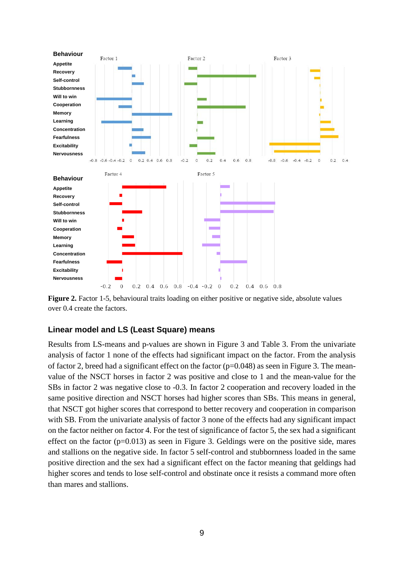

**Figure 2.** Factor 1-5, behavioural traits loading on either positive or negative side, absolute values over 0.4 create the factors.

#### **Linear model and LS (Least Square) means**

Results from LS-means and p-values are shown in Figure 3 and Table 3. From the univariate analysis of factor 1 none of the effects had significant impact on the factor. From the analysis of factor 2, breed had a significant effect on the factor  $(p=0.048)$  as seen in Figure 3. The meanvalue of the NSCT horses in factor 2 was positive and close to 1 and the mean-value for the SBs in factor 2 was negative close to -0.3. In factor 2 cooperation and recovery loaded in the same positive direction and NSCT horses had higher scores than SBs. This means in general, that NSCT got higher scores that correspond to better recovery and cooperation in comparison with SB. From the univariate analysis of factor 3 none of the effects had any significant impact on the factor neither on factor 4. For the test of significance of factor 5, the sex had a significant effect on the factor  $(p=0.013)$  as seen in Figure 3. Geldings were on the positive side, mares and stallions on the negative side. In factor 5 self-control and stubbornness loaded in the same positive direction and the sex had a significant effect on the factor meaning that geldings had higher scores and tends to lose self-control and obstinate once it resists a command more often than mares and stallions.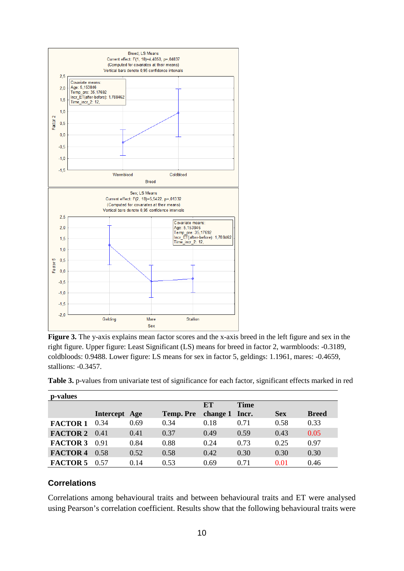

**Figure 3.** The y-axis explains mean factor scores and the x-axis breed in the left figure and sex in the right figure. Upper figure: Least Significant (LS) means for breed in factor 2, warmbloods: -0.3189, coldbloods: 0.9488. Lower figure: LS means for sex in factor 5, geldings: 1.1961, mares: -0.4659, stallions: -0.3457.

| p-values             |               |      |           |                      |             |            |              |
|----------------------|---------------|------|-----------|----------------------|-------------|------------|--------------|
|                      | Intercept Age |      | Temp. Pre | ET<br>change 1 Incr. | <b>Time</b> | <b>Sex</b> | <b>Breed</b> |
| <b>FACTOR 1</b>      | 0.34          | 0.69 | 0.34      | 0.18                 | 0.71        | 0.58       | 0.33         |
| <b>FACTOR 2</b> 0.41 |               | 0.41 | 0.37      | 0.49                 | 0.59        | 0.43       | 0.05         |
| <b>FACTOR 3</b>      | 0.91          | 0.84 | 0.88      | 0.24                 | 0.73        | 0.25       | 0.97         |
| <b>FACTOR 4</b>      | 0.58          | 0.52 | 0.58      | 0.42                 | 0.30        | 0.30       | 0.30         |

**FACTOR 5** 0.57 0.14 0.53 0.69 0.71 0.01 0.46

**Table 3.** p-values from univariate test of significance for each factor, significant effects marked in red

## **Correlations**

Correlations among behavioural traits and between behavioural traits and ET were analysed using Pearson's correlation coefficient. Results show that the following behavioural traits were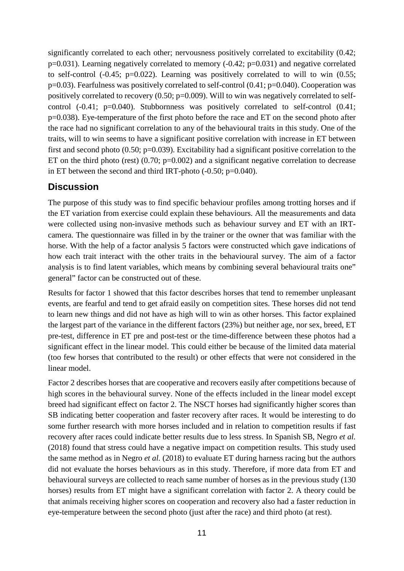significantly correlated to each other; nervousness positively correlated to excitability (0.42; p=0.031). Learning negatively correlated to memory (-0.42; p=0.031) and negative correlated to self-control  $(-0.45; p=0.022)$ . Learning was positively correlated to will to win  $(0.55;$ p=0.03). Fearfulness was positively correlated to self-control (0.41; p=0.040). Cooperation was positively correlated to recovery (0.50; p=0.009). Will to win was negatively correlated to selfcontrol (-0.41; p=0.040). Stubbornness was positively correlated to self-control (0.41; p=0.038). Eye-temperature of the first photo before the race and ET on the second photo after the race had no significant correlation to any of the behavioural traits in this study. One of the traits, will to win seems to have a significant positive correlation with increase in ET between first and second photo  $(0.50; p=0.039)$ . Excitability had a significant positive correlation to the ET on the third photo (rest)  $(0.70; p=0.002)$  and a significant negative correlation to decrease in ET between the second and third IRT-photo (-0.50; p=0.040).

## **Discussion**

The purpose of this study was to find specific behaviour profiles among trotting horses and if the ET variation from exercise could explain these behaviours. All the measurements and data were collected using non-invasive methods such as behaviour survey and ET with an IRTcamera. The questionnaire was filled in by the trainer or the owner that was familiar with the horse. With the help of a factor analysis 5 factors were constructed which gave indications of how each trait interact with the other traits in the behavioural survey. The aim of a factor analysis is to find latent variables, which means by combining several behavioural traits one" general" factor can be constructed out of these.

Results for factor 1 showed that this factor describes horses that tend to remember unpleasant events, are fearful and tend to get afraid easily on competition sites. These horses did not tend to learn new things and did not have as high will to win as other horses. This factor explained the largest part of the variance in the different factors (23%) but neither age, nor sex, breed, ET pre-test, difference in ET pre and post-test or the time-difference between these photos had a significant effect in the linear model. This could either be because of the limited data material (too few horses that contributed to the result) or other effects that were not considered in the linear model.

Factor 2 describes horses that are cooperative and recovers easily after competitions because of high scores in the behavioural survey. None of the effects included in the linear model except breed had significant effect on factor 2. The NSCT horses had significantly higher scores than SB indicating better cooperation and faster recovery after races. It would be interesting to do some further research with more horses included and in relation to competition results if fast recovery after races could indicate better results due to less stress. In Spanish SB, Negro *et al.* (2018) found that stress could have a negative impact on competition results. This study used the same method as in Negro *et al.* (2018) to evaluate ET during harness racing but the authors did not evaluate the horses behaviours as in this study. Therefore, if more data from ET and behavioural surveys are collected to reach same number of horses as in the previous study (130 horses) results from ET might have a significant correlation with factor 2. A theory could be that animals receiving higher scores on cooperation and recovery also had a faster reduction in eye-temperature between the second photo (just after the race) and third photo (at rest).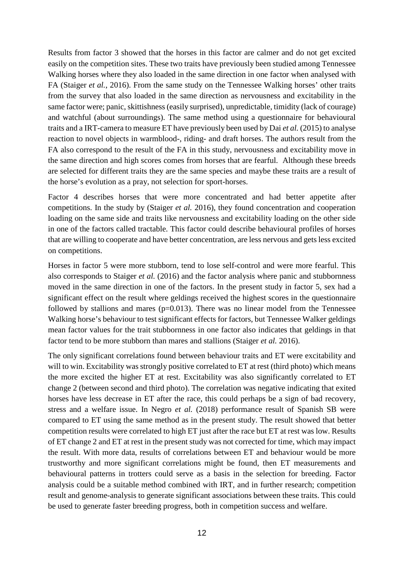Results from factor 3 showed that the horses in this factor are calmer and do not get excited easily on the competition sites. These two traits have previously been studied among Tennessee Walking horses where they also loaded in the same direction in one factor when analysed with FA (Staiger *et al.*, 2016). From the same study on the Tennessee Walking horses' other traits from the survey that also loaded in the same direction as nervousness and excitability in the same factor were; panic, skittishness (easily surprised), unpredictable, timidity (lack of courage) and watchful (about surroundings). The same method using a questionnaire for behavioural traits and a IRT-camera to measure ET have previously been used by Dai *et al.* (2015) to analyse reaction to novel objects in warmblood-, riding- and draft horses. The authors result from the FA also correspond to the result of the FA in this study, nervousness and excitability move in the same direction and high scores comes from horses that are fearful. Although these breeds are selected for different traits they are the same species and maybe these traits are a result of the horse's evolution as a pray, not selection for sport-horses.

Factor 4 describes horses that were more concentrated and had better appetite after competitions. In the study by (Staiger *et al.* 2016), they found concentration and cooperation loading on the same side and traits like nervousness and excitability loading on the other side in one of the factors called tractable. This factor could describe behavioural profiles of horses that are willing to cooperate and have better concentration, are less nervous and gets less excited on competitions.

Horses in factor 5 were more stubborn, tend to lose self-control and were more fearful. This also corresponds to Staiger *et al.* (2016) and the factor analysis where panic and stubbornness moved in the same direction in one of the factors. In the present study in factor 5, sex had a significant effect on the result where geldings received the highest scores in the questionnaire followed by stallions and mares ( $p=0.013$ ). There was no linear model from the Tennessee Walking horse's behaviour to test significant effects for factors, but Tennessee Walker geldings mean factor values for the trait stubbornness in one factor also indicates that geldings in that factor tend to be more stubborn than mares and stallions (Staiger *et al.* 2016).

The only significant correlations found between behaviour traits and ET were excitability and will to win. Excitability was strongly positive correlated to ET at rest (third photo) which means the more excited the higher ET at rest. Excitability was also significantly correlated to ET change 2 (between second and third photo). The correlation was negative indicating that exited horses have less decrease in ET after the race, this could perhaps be a sign of bad recovery, stress and a welfare issue. In Negro *et al.* (2018) performance result of Spanish SB were compared to ET using the same method as in the present study. The result showed that better competition results were correlated to high ET just after the race but ET at rest was low. Results of ET change 2 and ET at rest in the present study was not corrected for time, which may impact the result. With more data, results of correlations between ET and behaviour would be more trustworthy and more significant correlations might be found, then ET measurements and behavioural patterns in trotters could serve as a basis in the selection for breeding. Factor analysis could be a suitable method combined with IRT, and in further research; competition result and genome-analysis to generate significant associations between these traits. This could be used to generate faster breeding progress, both in competition success and welfare.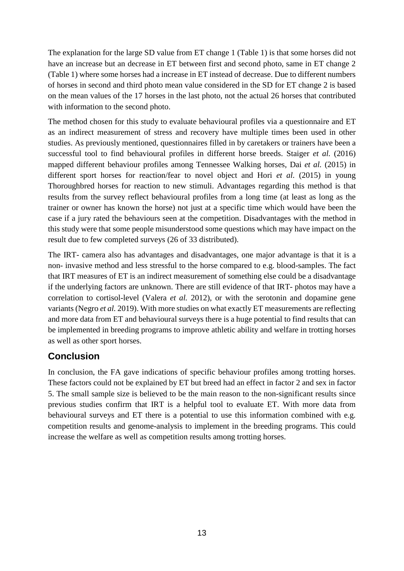The explanation for the large SD value from ET change 1 (Table 1) is that some horses did not have an increase but an decrease in ET between first and second photo, same in ET change 2 (Table 1) where some horses had a increase in ET instead of decrease. Due to different numbers of horses in second and third photo mean value considered in the SD for ET change 2 is based on the mean values of the 17 horses in the last photo, not the actual 26 horses that contributed with information to the second photo.

The method chosen for this study to evaluate behavioural profiles via a questionnaire and ET as an indirect measurement of stress and recovery have multiple times been used in other studies. As previously mentioned, questionnaires filled in by caretakers or trainers have been a successful tool to find behavioural profiles in different horse breeds. Staiger *et al.* (2016) mapped different behaviour profiles among Tennessee Walking horses, Dai *et al.* (2015) in different sport horses for reaction/fear to novel object and Hori *et al.* (2015) in young Thoroughbred horses for reaction to new stimuli. Advantages regarding this method is that results from the survey reflect behavioural profiles from a long time (at least as long as the trainer or owner has known the horse) not just at a specific time which would have been the case if a jury rated the behaviours seen at the competition. Disadvantages with the method in this study were that some people misunderstood some questions which may have impact on the result due to few completed surveys (26 of 33 distributed).

The IRT- camera also has advantages and disadvantages, one major advantage is that it is a non- invasive method and less stressful to the horse compared to e.g. blood-samples. The fact that IRT measures of ET is an indirect measurement of something else could be a disadvantage if the underlying factors are unknown. There are still evidence of that IRT- photos may have a correlation to cortisol-level (Valera *et al.* 2012), or with the serotonin and dopamine gene variants (Negro *et al.* 2019). With more studies on what exactly ET measurements are reflecting and more data from ET and behavioural surveys there is a huge potential to find results that can be implemented in breeding programs to improve athletic ability and welfare in trotting horses as well as other sport horses.

# **Conclusion**

In conclusion, the FA gave indications of specific behaviour profiles among trotting horses. These factors could not be explained by ET but breed had an effect in factor 2 and sex in factor 5. The small sample size is believed to be the main reason to the non-significant results since previous studies confirm that IRT is a helpful tool to evaluate ET. With more data from behavioural surveys and ET there is a potential to use this information combined with e.g. competition results and genome-analysis to implement in the breeding programs. This could increase the welfare as well as competition results among trotting horses.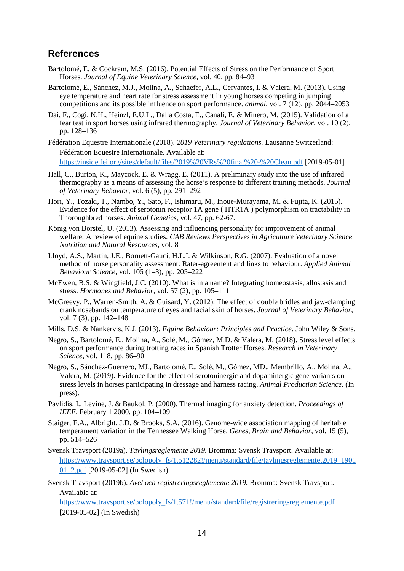### **References**

- Bartolomé, E. & Cockram, M.S. (2016). Potential Effects of Stress on the Performance of Sport Horses. *Journal of Equine Veterinary Science*, vol. 40, pp. 84–93
- Bartolomé, E., Sánchez, M.J., Molina, A., Schaefer, A.L., Cervantes, I. & Valera, M. (2013). Using eye temperature and heart rate for stress assessment in young horses competing in jumping competitions and its possible influence on sport performance. *animal*, vol. 7 (12), pp. 2044–2053
- Dai, F., Cogi, N.H., Heinzl, E.U.L., Dalla Costa, E., Canali, E. & Minero, M. (2015). Validation of a fear test in sport horses using infrared thermography. *Journal of Veterinary Behavior*, vol. 10 (2), pp. 128–136
- Fédération Equestre Internationale (2018). *2019 Veterinary regulations.* Lausanne Switzerland: Fédération Equestre Internationale. Available at: <https://inside.fei.org/sites/default/files/2019%20VRs%20final%20-%20Clean.pdf> [2019-05-01]
- Hall, C., Burton, K., Maycock, E. & Wragg, E. (2011). A preliminary study into the use of infrared thermography as a means of assessing the horse's response to different training methods. *Journal of Veterinary Behavior*, vol. 6 (5), pp. 291–292
- Hori, Y., Tozaki, T., Nambo, Y., Sato, F., Ishimaru, M., Inoue-Murayama, M. & Fujita, K. (2015). Evidence for the effect of serotonin receptor 1A gene ( HTR1A ) polymorphism on tractability in Thoroughbred horses. *Animal Genetics*, vol. 47, pp. 62-67.
- König von Borstel, U. (2013). Assessing and influencing personality for improvement of animal welfare: A review of equine studies. *CAB Reviews Perspectives in Agriculture Veterinary Science Nutrition and Natural Resources*, vol. 8
- Lloyd, A.S., Martin, J.E., Bornett-Gauci, H.L.I. & Wilkinson, R.G. (2007). Evaluation of a novel method of horse personality assessment: Rater-agreement and links to behaviour. *Applied Animal Behaviour Science*, vol. 105 (1–3), pp. 205–222
- McEwen, B.S. & Wingfield, J.C. (2010). What is in a name? Integrating homeostasis, allostasis and stress. *Hormones and Behavior*, vol. 57 (2), pp. 105–111
- McGreevy, P., Warren-Smith, A. & Guisard, Y. (2012). The effect of double bridles and jaw-clamping crank nosebands on temperature of eyes and facial skin of horses. *Journal of Veterinary Behavior*, vol. 7 (3), pp. 142–148
- Mills, D.S. & Nankervis, K.J. (2013). *Equine Behaviour: Principles and Practice*. John Wiley & Sons.
- Negro, S., Bartolomé, E., Molina, A., Solé, M., Gómez, M.D. & Valera, M. (2018). Stress level effects on sport performance during trotting races in Spanish Trotter Horses. *Research in Veterinary Science*, vol. 118, pp. 86–90
- Negro, S., Sánchez-Guerrero, MJ., Bartolomé, E., Solé, M., Gómez, MD., Membrillo, A., Molina, A., Valera, M. (2019). Evidence for the effect of serotoninergic and dopaminergic gene variants on stress levels in horses participating in dressage and harness racing. *Animal Production Science*. (In press).
- Pavlidis, I., Levine, J. & Baukol, P. (2000). Thermal imaging for anxiety detection. *Proceedings of IEEE*, February 1 2000. pp. 104–109
- Staiger, E.A., Albright, J.D. & Brooks, S.A. (2016). Genome-wide association mapping of heritable temperament variation in the Tennessee Walking Horse. *Genes, Brain and Behavior*, vol. 15 (5), pp. 514–526
- Svensk Travsport (2019a). *Tävlingsreglemente 2019.* Bromma: Svensk Travsport. Available at: https://www.travsport.se/polopoly\_fs/1.512282!/menu/standard/file/tavlingsreglementet2019\_1901 01\_2.pdf [2019-05-02] (In Swedish)
- Svensk Travsport (2019b). *Avel och registreringsreglemente 2019.* Bromma: Svensk Travsport. Available at:

https://www.travsport.se/polopoly\_fs/1.571!/menu/standard/file/registreringsreglemente.pdf [2019-05-02] (In Swedish)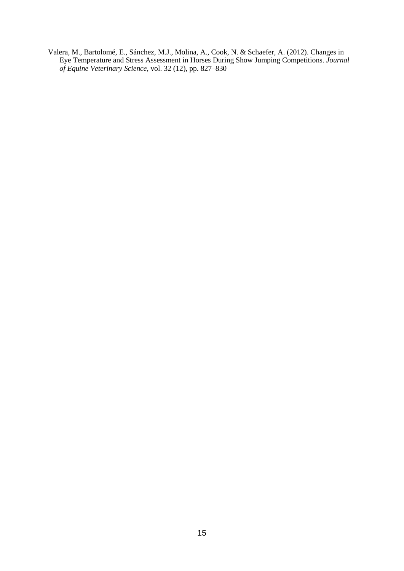Valera, M., Bartolomé, E., Sánchez, M.J., Molina, A., Cook, N. & Schaefer, A. (2012). Changes in Eye Temperature and Stress Assessment in Horses During Show Jumping Competitions. *Journal of Equine Veterinary Science*, vol. 32 (12), pp. 827–830